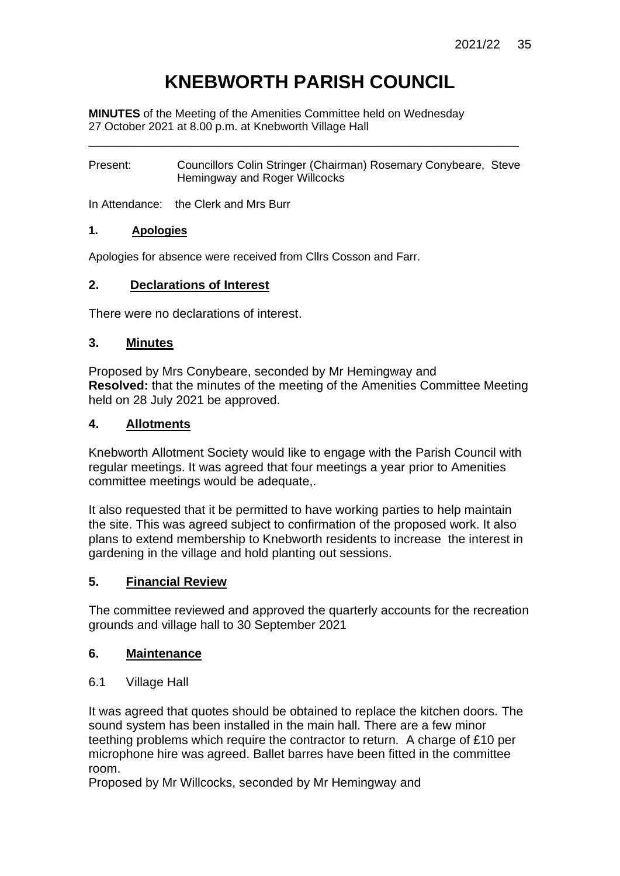# **KNEBWORTH PARISH COUNCIL**

**MINUTES** of the Meeting of the Amenities Committee held on Wednesday 27 October 2021 at 8.00 p.m. at Knebworth Village Hall

Present: Councillors Colin Stringer (Chairman) Rosemary Conybeare, Steve Hemingway and Roger Willcocks

\_\_\_\_\_\_\_\_\_\_\_\_\_\_\_\_\_\_\_\_\_\_\_\_\_\_\_\_\_\_\_\_\_\_\_\_\_\_\_\_\_\_\_\_\_\_\_\_\_\_\_\_\_\_\_\_\_\_\_\_\_\_

In Attendance: the Clerk and Mrs Burr

#### **1. Apologies**

Apologies for absence were received from Cllrs Cosson and Farr.

#### **2. Declarations of Interest**

There were no declarations of interest.

#### **3. Minutes**

Proposed by Mrs Conybeare, seconded by Mr Hemingway and **Resolved:** that the minutes of the meeting of the Amenities Committee Meeting held on 28 July 2021 be approved.

#### **4. Allotments**

Knebworth Allotment Society would like to engage with the Parish Council with regular meetings. It was agreed that four meetings a year prior to Amenities committee meetings would be adequate,.

It also requested that it be permitted to have working parties to help maintain the site. This was agreed subject to confirmation of the proposed work. It also plans to extend membership to Knebworth residents to increase the interest in gardening in the village and hold planting out sessions.

#### **5. Financial Review**

The committee reviewed and approved the quarterly accounts for the recreation grounds and village hall to 30 September 2021

#### **6. Maintenance**

6.1 Village Hall

It was agreed that quotes should be obtained to replace the kitchen doors. The sound system has been installed in the main hall. There are a few minor teething problems which require the contractor to return. A charge of £10 per microphone hire was agreed. Ballet barres have been fitted in the committee room.

Proposed by Mr Willcocks, seconded by Mr Hemingway and